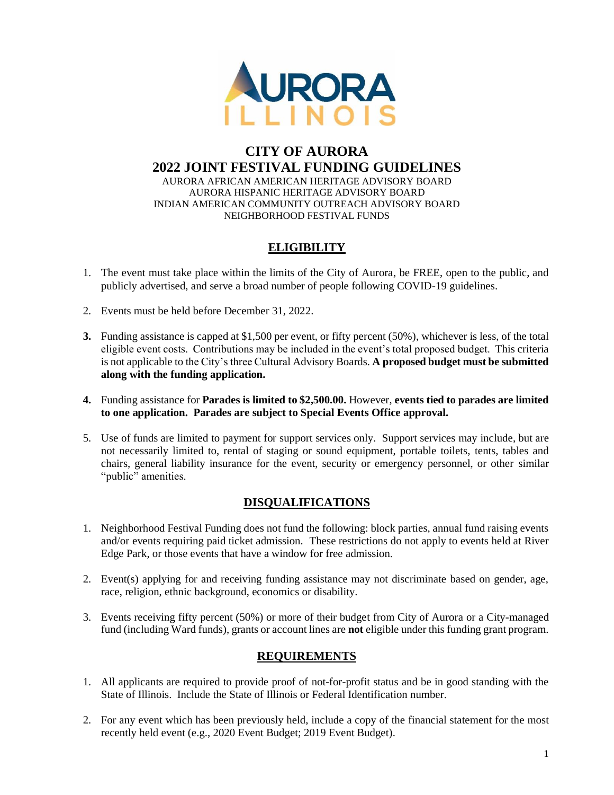

#### **CITY OF AURORA 2022 JOINT FESTIVAL FUNDING GUIDELINES** AURORA AFRICAN AMERICAN HERITAGE ADVISORY BOARD AURORA HISPANIC HERITAGE ADVISORY BOARD INDIAN AMERICAN COMMUNITY OUTREACH ADVISORY BOARD

# **ELIGIBILITY**

NEIGHBORHOOD FESTIVAL FUNDS

- 1. The event must take place within the limits of the City of Aurora, be FREE, open to the public, and publicly advertised, and serve a broad number of people following COVID-19 guidelines.
- 2. Events must be held before December 31, 2022.
- **3.** Funding assistance is capped at \$1,500 per event, or fifty percent (50%), whichever is less, of the total eligible event costs. Contributions may be included in the event's total proposed budget. This criteria is not applicable to the City's three Cultural Advisory Boards. **A proposed budget must be submitted along with the funding application.**
- **4.** Funding assistance for **Parades is limited to \$2,500.00.** However, **events tied to parades are limited to one application. Parades are subject to Special Events Office approval.**
- 5. Use of funds are limited to payment for support services only. Support services may include, but are not necessarily limited to, rental of staging or sound equipment, portable toilets, tents, tables and chairs, general liability insurance for the event, security or emergency personnel, or other similar "public" amenities.

### **DISQUALIFICATIONS**

- 1. Neighborhood Festival Funding does not fund the following: block parties, annual fund raising events and/or events requiring paid ticket admission. These restrictions do not apply to events held at River Edge Park, or those events that have a window for free admission.
- 2. Event(s) applying for and receiving funding assistance may not discriminate based on gender, age, race, religion, ethnic background, economics or disability.
- 3. Events receiving fifty percent (50%) or more of their budget from City of Aurora or a City-managed fund (including Ward funds), grants or account lines are **not** eligible under this funding grant program.

### **REQUIREMENTS**

- 1. All applicants are required to provide proof of not-for-profit status and be in good standing with the State of Illinois. Include the State of Illinois or Federal Identification number.
- 2. For any event which has been previously held, include a copy of the financial statement for the most recently held event (e.g., 2020 Event Budget; 2019 Event Budget).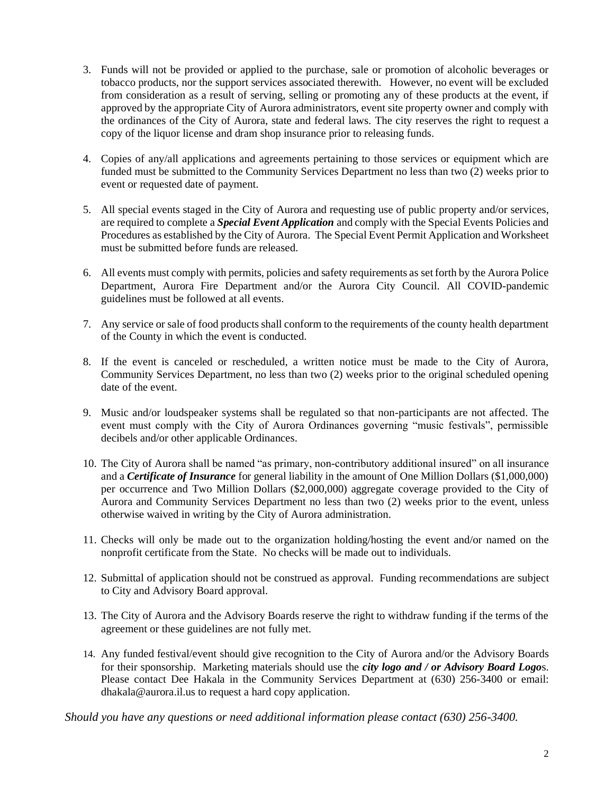- 3. Funds will not be provided or applied to the purchase, sale or promotion of alcoholic beverages or tobacco products, nor the support services associated therewith. However, no event will be excluded from consideration as a result of serving, selling or promoting any of these products at the event, if approved by the appropriate City of Aurora administrators, event site property owner and comply with the ordinances of the City of Aurora, state and federal laws. The city reserves the right to request a copy of the liquor license and dram shop insurance prior to releasing funds.
- 4. Copies of any/all applications and agreements pertaining to those services or equipment which are funded must be submitted to the Community Services Department no less than two (2) weeks prior to event or requested date of payment.
- 5. All special events staged in the City of Aurora and requesting use of public property and/or services, are required to complete a *Special Event Application* and comply with the Special Events Policies and Procedures as established by the City of Aurora. The Special Event Permit Application and Worksheet must be submitted before funds are released.
- 6. All events must comply with permits, policies and safety requirements as set forth by the Aurora Police Department, Aurora Fire Department and/or the Aurora City Council. All COVID-pandemic guidelines must be followed at all events.
- 7. Any service or sale of food products shall conform to the requirements of the county health department of the County in which the event is conducted.
- 8. If the event is canceled or rescheduled, a written notice must be made to the City of Aurora, Community Services Department, no less than two (2) weeks prior to the original scheduled opening date of the event.
- 9. Music and/or loudspeaker systems shall be regulated so that non-participants are not affected. The event must comply with the City of Aurora Ordinances governing "music festivals", permissible decibels and/or other applicable Ordinances.
- 10. The City of Aurora shall be named "as primary, non-contributory additional insured" on all insurance and a *Certificate of Insurance* for general liability in the amount of One Million Dollars (\$1,000,000) per occurrence and Two Million Dollars (\$2,000,000) aggregate coverage provided to the City of Aurora and Community Services Department no less than two (2) weeks prior to the event, unless otherwise waived in writing by the City of Aurora administration.
- 11. Checks will only be made out to the organization holding/hosting the event and/or named on the nonprofit certificate from the State. No checks will be made out to individuals.
- 12. Submittal of application should not be construed as approval. Funding recommendations are subject to City and Advisory Board approval.
- 13. The City of Aurora and the Advisory Boards reserve the right to withdraw funding if the terms of the agreement or these guidelines are not fully met.
- 14. Any funded festival/event should give recognition to the City of Aurora and/or the Advisory Boards for their sponsorship. Marketing materials should use the *city logo and / or Advisory Board Logo*s. Please contact Dee Hakala in the Community Services Department at (630) 256-3400 or email: dhakala@aurora.il.us to request a hard copy application.

*Should you have any questions or need additional information please contact (630) 256-3400.*